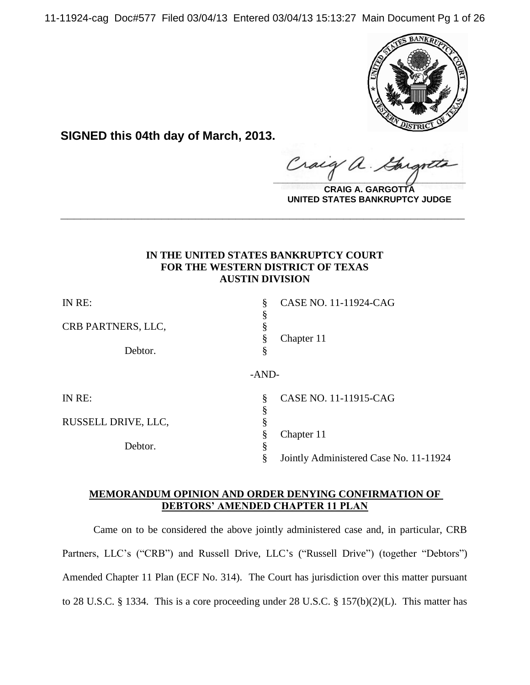11-11924-cag Doc#577 Filed 03/04/13 Entered 03/04/13 15:13:27 Main Document Pg 1 of 26



**SIGNED this 04th day of March, 2013.**

 $\alpha$ . Craig  $\frac{1}{2}$ 

**CRAIG A. GARGOTTA UNITED STATES BANKRUPTCY JUDGE**

# **IN THE UNITED STATES BANKRUPTCY COURT FOR THE WESTERN DISTRICT OF TEXAS AUSTIN DIVISION**

**\_\_\_\_\_\_\_\_\_\_\_\_\_\_\_\_\_\_\_\_\_\_\_\_\_\_\_\_\_\_\_\_\_\_\_\_\_\_\_\_\_\_\_\_\_\_\_\_\_\_\_\_\_\_\_\_\_\_\_\_**

| IN RE:              | ş       | CASE NO. 11-11924-CAG                  |
|---------------------|---------|----------------------------------------|
|                     | §       |                                        |
| CRB PARTNERS, LLC,  | ş       |                                        |
|                     | §       | Chapter 11                             |
| Debtor.             | §       |                                        |
|                     | $-AND-$ |                                        |
| IN RE:              | §       | CASE NO. 11-11915-CAG                  |
|                     | §       |                                        |
| RUSSELL DRIVE, LLC, | §       |                                        |
|                     | §       | Chapter 11                             |
| Debtor.             | §       |                                        |
|                     | §       | Jointly Administered Case No. 11-11924 |

# **MEMORANDUM OPINION AND ORDER DENYING CONFIRMATION OF DEBTORS' AMENDED CHAPTER 11 PLAN**

Came on to be considered the above jointly administered case and, in particular, CRB Partners, LLC's ("CRB") and Russell Drive, LLC's ("Russell Drive") (together "Debtors") Amended Chapter 11 Plan (ECF No. 314). The Court has jurisdiction over this matter pursuant to 28 U.S.C. § 1334. This is a core proceeding under 28 U.S.C. § 157(b)(2)(L). This matter has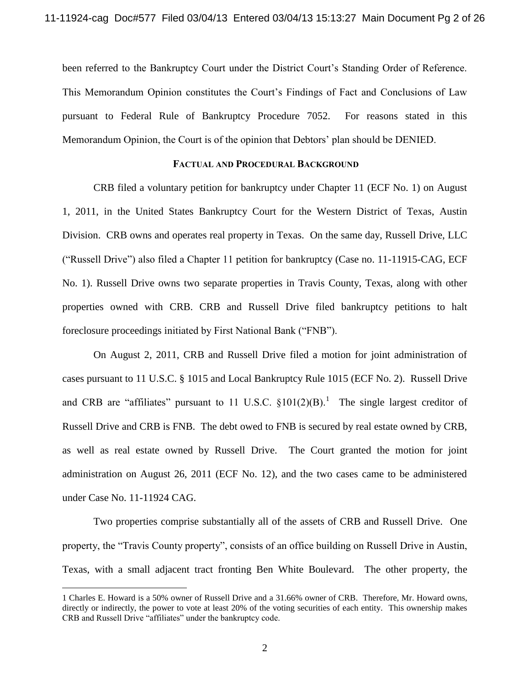been referred to the Bankruptcy Court under the District Court's Standing Order of Reference. This Memorandum Opinion constitutes the Court's Findings of Fact and Conclusions of Law pursuant to Federal Rule of Bankruptcy Procedure 7052. For reasons stated in this Memorandum Opinion, the Court is of the opinion that Debtors' plan should be DENIED.

### **FACTUAL AND PROCEDURAL BACKGROUND**

CRB filed a voluntary petition for bankruptcy under Chapter 11 (ECF No. 1) on August 1, 2011, in the United States Bankruptcy Court for the Western District of Texas, Austin Division. CRB owns and operates real property in Texas. On the same day, Russell Drive, LLC ("Russell Drive") also filed a Chapter 11 petition for bankruptcy (Case no. 11-11915-CAG, ECF No. 1). Russell Drive owns two separate properties in Travis County, Texas, along with other properties owned with CRB. CRB and Russell Drive filed bankruptcy petitions to halt foreclosure proceedings initiated by First National Bank ("FNB").

On August 2, 2011, CRB and Russell Drive filed a motion for joint administration of cases pursuant to 11 U.S.C. § 1015 and Local Bankruptcy Rule 1015 (ECF No. 2). Russell Drive and CRB are "affiliates" pursuant to 11 U.S.C.  $\S 101(2)(B)$ .<sup>1</sup> The single largest creditor of Russell Drive and CRB is FNB. The debt owed to FNB is secured by real estate owned by CRB, as well as real estate owned by Russell Drive. The Court granted the motion for joint administration on August 26, 2011 (ECF No. 12), and the two cases came to be administered under Case No. 11-11924 CAG.

Two properties comprise substantially all of the assets of CRB and Russell Drive. One property, the "Travis County property", consists of an office building on Russell Drive in Austin, Texas, with a small adjacent tract fronting Ben White Boulevard. The other property, the

<sup>1</sup> Charles E. Howard is a 50% owner of Russell Drive and a 31.66% owner of CRB. Therefore, Mr. Howard owns, directly or indirectly, the power to vote at least 20% of the voting securities of each entity. This ownership makes CRB and Russell Drive "affiliates" under the bankruptcy code.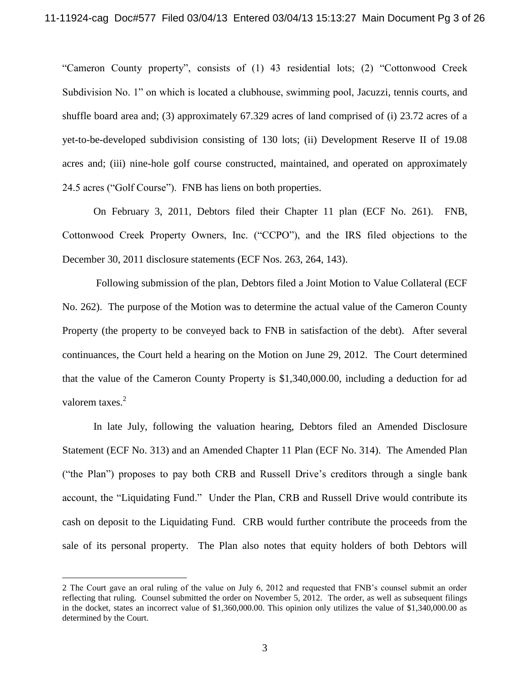"Cameron County property", consists of (1) 43 residential lots; (2) "Cottonwood Creek Subdivision No. 1" on which is located a clubhouse, swimming pool, Jacuzzi, tennis courts, and shuffle board area and; (3) approximately 67.329 acres of land comprised of (i) 23.72 acres of a yet-to-be-developed subdivision consisting of 130 lots; (ii) Development Reserve II of 19.08 acres and; (iii) nine-hole golf course constructed, maintained, and operated on approximately 24.5 acres ("Golf Course"). FNB has liens on both properties.

On February 3, 2011, Debtors filed their Chapter 11 plan (ECF No. 261). FNB, Cottonwood Creek Property Owners, Inc. ("CCPO"), and the IRS filed objections to the December 30, 2011 disclosure statements (ECF Nos. 263, 264, 143).

Following submission of the plan, Debtors filed a Joint Motion to Value Collateral (ECF No. 262). The purpose of the Motion was to determine the actual value of the Cameron County Property (the property to be conveyed back to FNB in satisfaction of the debt). After several continuances, the Court held a hearing on the Motion on June 29, 2012. The Court determined that the value of the Cameron County Property is \$1,340,000.00, including a deduction for ad valorem taxes.<sup>2</sup>

In late July, following the valuation hearing, Debtors filed an Amended Disclosure Statement (ECF No. 313) and an Amended Chapter 11 Plan (ECF No. 314). The Amended Plan ("the Plan") proposes to pay both CRB and Russell Drive's creditors through a single bank account, the "Liquidating Fund." Under the Plan, CRB and Russell Drive would contribute its cash on deposit to the Liquidating Fund. CRB would further contribute the proceeds from the sale of its personal property. The Plan also notes that equity holders of both Debtors will

<sup>2</sup> The Court gave an oral ruling of the value on July 6, 2012 and requested that FNB's counsel submit an order reflecting that ruling. Counsel submitted the order on November 5, 2012. The order, as well as subsequent filings in the docket, states an incorrect value of \$1,360,000.00. This opinion only utilizes the value of \$1,340,000.00 as determined by the Court.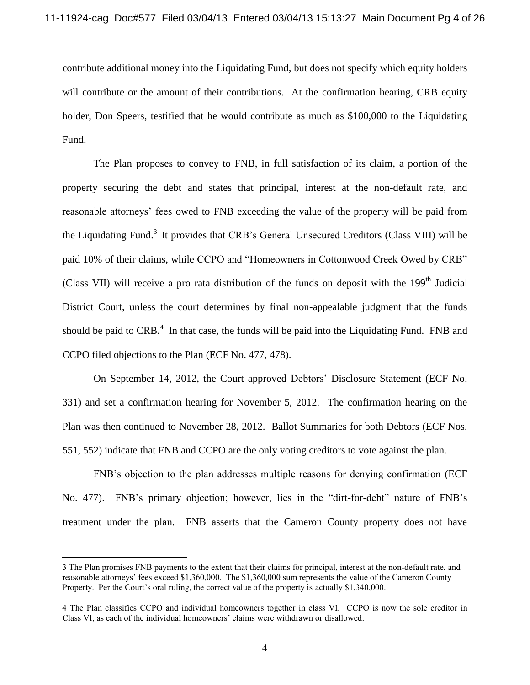contribute additional money into the Liquidating Fund, but does not specify which equity holders will contribute or the amount of their contributions. At the confirmation hearing, CRB equity holder, Don Speers, testified that he would contribute as much as \$100,000 to the Liquidating Fund.

The Plan proposes to convey to FNB, in full satisfaction of its claim, a portion of the property securing the debt and states that principal, interest at the non-default rate, and reasonable attorneys' fees owed to FNB exceeding the value of the property will be paid from the Liquidating Fund.<sup>3</sup> It provides that CRB's General Unsecured Creditors (Class VIII) will be paid 10% of their claims, while CCPO and "Homeowners in Cottonwood Creek Owed by CRB" (Class VII) will receive a pro rata distribution of the funds on deposit with the  $199<sup>th</sup>$  Judicial District Court, unless the court determines by final non-appealable judgment that the funds should be paid to  $CRB<sup>4</sup>$ . In that case, the funds will be paid into the Liquidating Fund. FNB and CCPO filed objections to the Plan (ECF No. 477, 478).

On September 14, 2012, the Court approved Debtors' Disclosure Statement (ECF No. 331) and set a confirmation hearing for November 5, 2012. The confirmation hearing on the Plan was then continued to November 28, 2012. Ballot Summaries for both Debtors (ECF Nos. 551, 552) indicate that FNB and CCPO are the only voting creditors to vote against the plan.

FNB's objection to the plan addresses multiple reasons for denying confirmation (ECF No. 477). FNB's primary objection; however, lies in the "dirt-for-debt" nature of FNB's treatment under the plan. FNB asserts that the Cameron County property does not have

<sup>3</sup> The Plan promises FNB payments to the extent that their claims for principal, interest at the non-default rate, and reasonable attorneys' fees exceed \$1,360,000. The \$1,360,000 sum represents the value of the Cameron County Property. Per the Court's oral ruling, the correct value of the property is actually \$1,340,000.

<sup>4</sup> The Plan classifies CCPO and individual homeowners together in class VI. CCPO is now the sole creditor in Class VI, as each of the individual homeowners' claims were withdrawn or disallowed.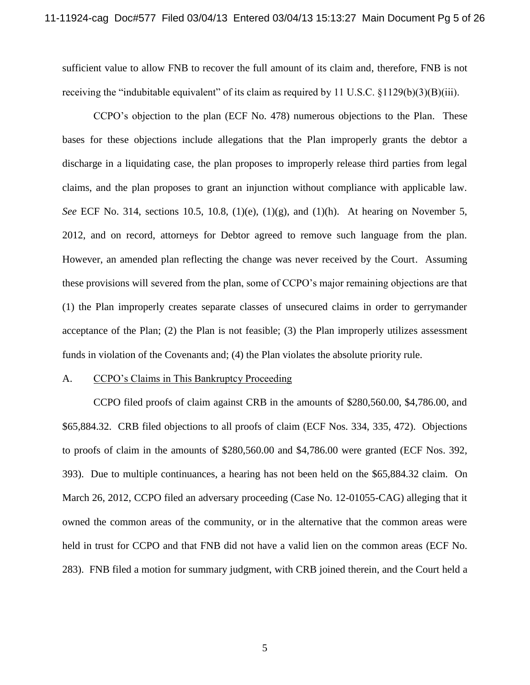sufficient value to allow FNB to recover the full amount of its claim and, therefore, FNB is not receiving the "indubitable equivalent" of its claim as required by 11 U.S.C.  $\{1129(b)(3)(B)(iii)\}$ .

CCPO's objection to the plan (ECF No. 478) numerous objections to the Plan. These bases for these objections include allegations that the Plan improperly grants the debtor a discharge in a liquidating case, the plan proposes to improperly release third parties from legal claims, and the plan proposes to grant an injunction without compliance with applicable law. *See* ECF No. 314, sections 10.5, 10.8, (1)(e), (1)(g), and (1)(h). At hearing on November 5, 2012, and on record, attorneys for Debtor agreed to remove such language from the plan. However, an amended plan reflecting the change was never received by the Court. Assuming these provisions will severed from the plan, some of CCPO's major remaining objections are that (1) the Plan improperly creates separate classes of unsecured claims in order to gerrymander acceptance of the Plan; (2) the Plan is not feasible; (3) the Plan improperly utilizes assessment funds in violation of the Covenants and; (4) the Plan violates the absolute priority rule.

#### A. CCPO's Claims in This Bankruptcy Proceeding

CCPO filed proofs of claim against CRB in the amounts of \$280,560.00, \$4,786.00, and \$65,884.32. CRB filed objections to all proofs of claim (ECF Nos. 334, 335, 472). Objections to proofs of claim in the amounts of \$280,560.00 and \$4,786.00 were granted (ECF Nos. 392, 393). Due to multiple continuances, a hearing has not been held on the \$65,884.32 claim. On March 26, 2012, CCPO filed an adversary proceeding (Case No. 12-01055-CAG) alleging that it owned the common areas of the community, or in the alternative that the common areas were held in trust for CCPO and that FNB did not have a valid lien on the common areas (ECF No. 283). FNB filed a motion for summary judgment, with CRB joined therein, and the Court held a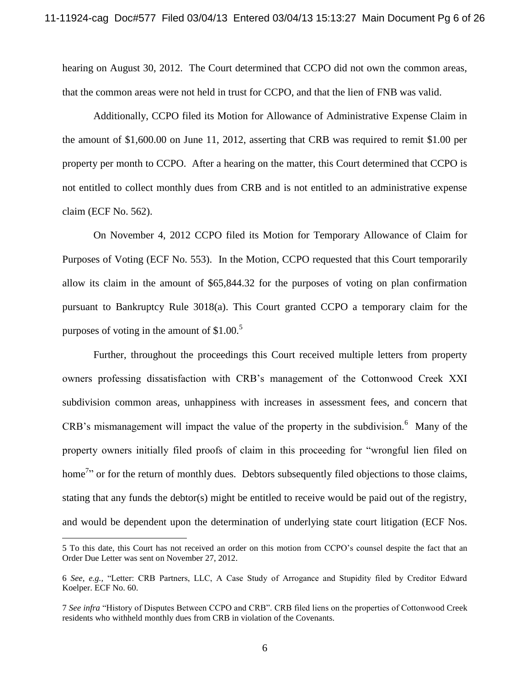hearing on August 30, 2012. The Court determined that CCPO did not own the common areas, that the common areas were not held in trust for CCPO, and that the lien of FNB was valid.

Additionally, CCPO filed its Motion for Allowance of Administrative Expense Claim in the amount of \$1,600.00 on June 11, 2012, asserting that CRB was required to remit \$1.00 per property per month to CCPO. After a hearing on the matter, this Court determined that CCPO is not entitled to collect monthly dues from CRB and is not entitled to an administrative expense claim (ECF No. 562).

On November 4, 2012 CCPO filed its Motion for Temporary Allowance of Claim for Purposes of Voting (ECF No. 553). In the Motion, CCPO requested that this Court temporarily allow its claim in the amount of \$65,844.32 for the purposes of voting on plan confirmation pursuant to Bankruptcy Rule 3018(a). This Court granted CCPO a temporary claim for the purposes of voting in the amount of  $$1.00<sup>5</sup>$ 

Further, throughout the proceedings this Court received multiple letters from property owners professing dissatisfaction with CRB's management of the Cottonwood Creek XXI subdivision common areas, unhappiness with increases in assessment fees, and concern that  $CRB$ 's mismanagement will impact the value of the property in the subdivision.<sup>6</sup> Many of the property owners initially filed proofs of claim in this proceeding for "wrongful lien filed on home<sup>7</sup> or for the return of monthly dues. Debtors subsequently filed objections to those claims, stating that any funds the debtor(s) might be entitled to receive would be paid out of the registry, and would be dependent upon the determination of underlying state court litigation (ECF Nos.

<sup>5</sup> To this date, this Court has not received an order on this motion from CCPO's counsel despite the fact that an Order Due Letter was sent on November 27, 2012.

<sup>6</sup> *See, e.g.,* "Letter: CRB Partners, LLC, A Case Study of Arrogance and Stupidity filed by Creditor Edward Koelper. ECF No. 60.

<sup>7</sup> *See infra* "History of Disputes Between CCPO and CRB". CRB filed liens on the properties of Cottonwood Creek residents who withheld monthly dues from CRB in violation of the Covenants.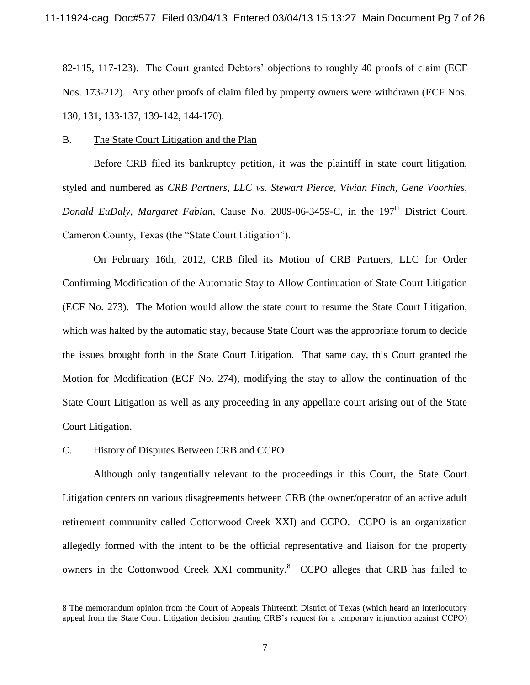82-115, 117-123). The Court granted Debtors' objections to roughly 40 proofs of claim (ECF Nos. 173-212). Any other proofs of claim filed by property owners were withdrawn (ECF Nos. 130, 131, 133-137, 139-142, 144-170).

#### B. The State Court Litigation and the Plan

Before CRB filed its bankruptcy petition, it was the plaintiff in state court litigation, styled and numbered as *CRB Partners, LLC vs. Stewart Pierce, Vivian Finch, Gene Voorhies, Donald EuDaly, Margaret Fabian, Cause No. 2009-06-3459-C, in the 197<sup>th</sup> District Court,* Cameron County, Texas (the "State Court Litigation").

On February 16th, 2012, CRB filed its Motion of CRB Partners, LLC for Order Confirming Modification of the Automatic Stay to Allow Continuation of State Court Litigation (ECF No. 273). The Motion would allow the state court to resume the State Court Litigation, which was halted by the automatic stay, because State Court was the appropriate forum to decide the issues brought forth in the State Court Litigation. That same day, this Court granted the Motion for Modification (ECF No. 274), modifying the stay to allow the continuation of the State Court Litigation as well as any proceeding in any appellate court arising out of the State Court Litigation.

### C. History of Disputes Between CRB and CCPO

 $\overline{a}$ 

Although only tangentially relevant to the proceedings in this Court, the State Court Litigation centers on various disagreements between CRB (the owner/operator of an active adult retirement community called Cottonwood Creek XXI) and CCPO. CCPO is an organization allegedly formed with the intent to be the official representative and liaison for the property owners in the Cottonwood Creek XXI community.<sup>8</sup> CCPO alleges that CRB has failed to

<sup>8</sup> The memorandum opinion from the Court of Appeals Thirteenth District of Texas (which heard an interlocutory appeal from the State Court Litigation decision granting CRB's request for a temporary injunction against CCPO)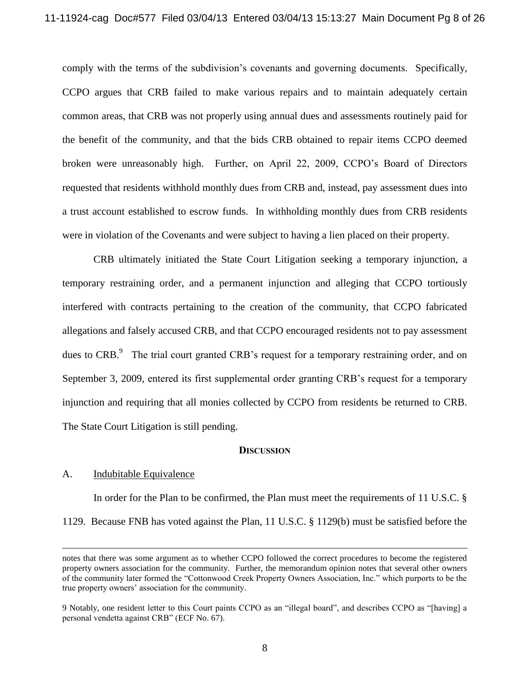comply with the terms of the subdivision's covenants and governing documents. Specifically, CCPO argues that CRB failed to make various repairs and to maintain adequately certain common areas, that CRB was not properly using annual dues and assessments routinely paid for the benefit of the community, and that the bids CRB obtained to repair items CCPO deemed broken were unreasonably high. Further, on April 22, 2009, CCPO's Board of Directors requested that residents withhold monthly dues from CRB and, instead, pay assessment dues into a trust account established to escrow funds. In withholding monthly dues from CRB residents were in violation of the Covenants and were subject to having a lien placed on their property.

CRB ultimately initiated the State Court Litigation seeking a temporary injunction, a temporary restraining order, and a permanent injunction and alleging that CCPO tortiously interfered with contracts pertaining to the creation of the community, that CCPO fabricated allegations and falsely accused CRB, and that CCPO encouraged residents not to pay assessment dues to CRB.<sup>9</sup> The trial court granted CRB's request for a temporary restraining order, and on September 3, 2009, entered its first supplemental order granting CRB's request for a temporary injunction and requiring that all monies collected by CCPO from residents be returned to CRB. The State Court Litigation is still pending.

#### **DISCUSSION**

### A. Indubitable Equivalence

 $\overline{a}$ 

In order for the Plan to be confirmed, the Plan must meet the requirements of 11 U.S.C. § 1129. Because FNB has voted against the Plan, 11 U.S.C. § 1129(b) must be satisfied before the

notes that there was some argument as to whether CCPO followed the correct procedures to become the registered property owners association for the community. Further, the memorandum opinion notes that several other owners of the community later formed the "Cottonwood Creek Property Owners Association, Inc." which purports to be the true property owners' association for the community.

<sup>9</sup> Notably, one resident letter to this Court paints CCPO as an "illegal board", and describes CCPO as "[having] a personal vendetta against CRB" (ECF No. 67).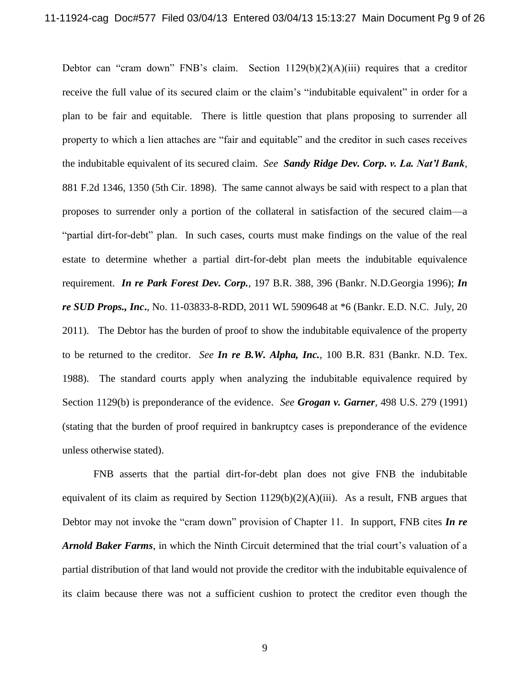Debtor can "cram down" FNB's claim. Section  $1129(b)(2)(A)(iii)$  requires that a creditor receive the full value of its secured claim or the claim's "indubitable equivalent" in order for a plan to be fair and equitable. There is little question that plans proposing to surrender all property to which a lien attaches are "fair and equitable" and the creditor in such cases receives the indubitable equivalent of its secured claim. *See Sandy Ridge Dev. Corp. v. La. Nat'l Bank*, 881 F.2d 1346, 1350 (5th Cir. 1898). The same cannot always be said with respect to a plan that proposes to surrender only a portion of the collateral in satisfaction of the secured claim—a "partial dirt-for-debt" plan. In such cases, courts must make findings on the value of the real estate to determine whether a partial dirt-for-debt plan meets the indubitable equivalence requirement. *In re Park Forest Dev. Corp.,* 197 B.R. 388, 396 (Bankr. N.D.Georgia 1996); *In re SUD Props., Inc***.**, No. 11-03833-8-RDD, 2011 WL 5909648 at \*6 (Bankr. E.D. N.C. July, 20 2011). The Debtor has the burden of proof to show the indubitable equivalence of the property to be returned to the creditor. *See In re B.W. Alpha, Inc.*, 100 B.R. 831 (Bankr. N.D. Tex. 1988).The standard courts apply when analyzing the indubitable equivalence required by Section 1129(b) is preponderance of the evidence. *See Grogan v. Garner,* 498 U.S. 279 (1991) (stating that the burden of proof required in bankruptcy cases is preponderance of the evidence unless otherwise stated).

FNB asserts that the partial dirt-for-debt plan does not give FNB the indubitable equivalent of its claim as required by Section  $1129(b)(2)(A)(iii)$ . As a result, FNB argues that Debtor may not invoke the "cram down" provision of Chapter 11. In support, FNB cites *In re Arnold Baker Farms*, in which the Ninth Circuit determined that the trial court's valuation of a partial distribution of that land would not provide the creditor with the indubitable equivalence of its claim because there was not a sufficient cushion to protect the creditor even though the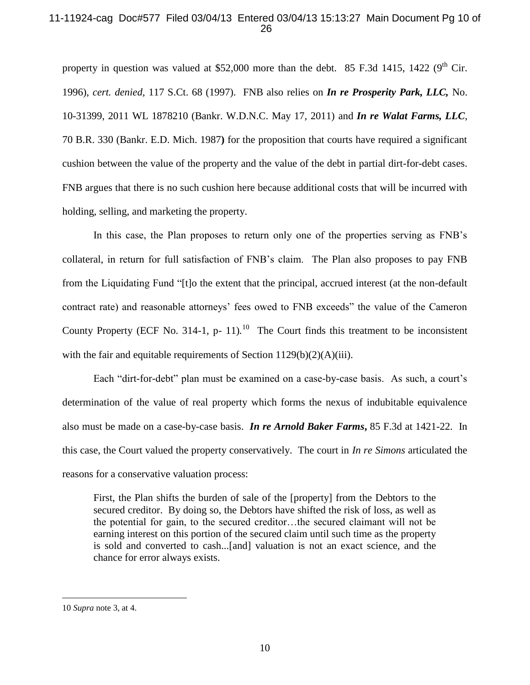## 11-11924-cag Doc#577 Filed 03/04/13 Entered 03/04/13 15:13:27 Main Document Pg 10 of 26

property in question was valued at \$52,000 more than the debt. 85 F.3d 1415, 1422 ( $9<sup>th</sup>$  Cir. 1996), *cert. denied,* 117 S.Ct. 68 (1997). FNB also relies on *In re Prosperity Park, LLC,* No. 10-31399, 2011 WL 1878210 (Bankr. W.D.N.C. May 17, 2011) and *In re Walat Farms, LLC*, 70 B.R. 330 (Bankr. E.D. Mich. 1987**)** for the proposition that courts have required a significant cushion between the value of the property and the value of the debt in partial dirt-for-debt cases. FNB argues that there is no such cushion here because additional costs that will be incurred with holding, selling, and marketing the property.

In this case, the Plan proposes to return only one of the properties serving as FNB's collateral, in return for full satisfaction of FNB's claim. The Plan also proposes to pay FNB from the Liquidating Fund "[t]o the extent that the principal, accrued interest (at the non-default contract rate) and reasonable attorneys' fees owed to FNB exceeds" the value of the Cameron County Property (ECF No. 314-1, p- 11).<sup>10</sup> The Court finds this treatment to be inconsistent with the fair and equitable requirements of Section 1129(b)(2)(A)(iii).

Each "dirt-for-debt" plan must be examined on a case-by-case basis. As such, a court's determination of the value of real property which forms the nexus of indubitable equivalence also must be made on a case-by-case basis. *In re Arnold Baker Farms***,** 85 F.3d at 1421-22. In this case, the Court valued the property conservatively. The court in *In re Simons* articulated the reasons for a conservative valuation process:

First, the Plan shifts the burden of sale of the [property] from the Debtors to the secured creditor. By doing so, the Debtors have shifted the risk of loss, as well as the potential for gain, to the secured creditor…the secured claimant will not be earning interest on this portion of the secured claim until such time as the property is sold and converted to cash...[and] valuation is not an exact science, and the chance for error always exists.

<sup>10</sup> *Supra* note 3, at 4.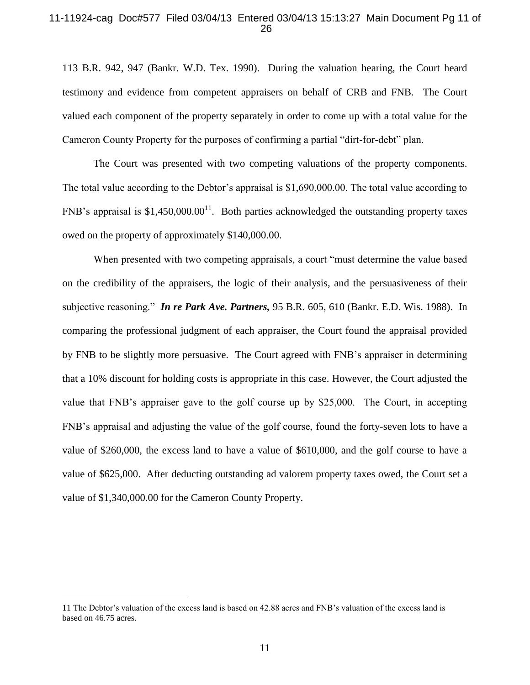### 11-11924-cag Doc#577 Filed 03/04/13 Entered 03/04/13 15:13:27 Main Document Pg 11 of 26

113 B.R. 942, 947 (Bankr. W.D. Tex. 1990).During the valuation hearing, the Court heard testimony and evidence from competent appraisers on behalf of CRB and FNB. The Court valued each component of the property separately in order to come up with a total value for the Cameron County Property for the purposes of confirming a partial "dirt-for-debt" plan.

The Court was presented with two competing valuations of the property components. The total value according to the Debtor's appraisal is \$1,690,000.00. The total value according to FNB's appraisal is \$1,450,000.00<sup>11</sup>. Both parties acknowledged the outstanding property taxes owed on the property of approximately \$140,000.00.

When presented with two competing appraisals, a court "must determine the value based on the credibility of the appraisers, the logic of their analysis, and the persuasiveness of their subjective reasoning." *In re Park Ave. Partners,* 95 B.R. 605, 610 (Bankr. E.D. Wis. 1988). In comparing the professional judgment of each appraiser, the Court found the appraisal provided by FNB to be slightly more persuasive. The Court agreed with FNB's appraiser in determining that a 10% discount for holding costs is appropriate in this case. However, the Court adjusted the value that FNB's appraiser gave to the golf course up by \$25,000. The Court, in accepting FNB's appraisal and adjusting the value of the golf course, found the forty-seven lots to have a value of \$260,000, the excess land to have a value of \$610,000, and the golf course to have a value of \$625,000. After deducting outstanding ad valorem property taxes owed, the Court set a value of \$1,340,000.00 for the Cameron County Property.

<sup>11</sup> The Debtor's valuation of the excess land is based on 42.88 acres and FNB's valuation of the excess land is based on 46.75 acres.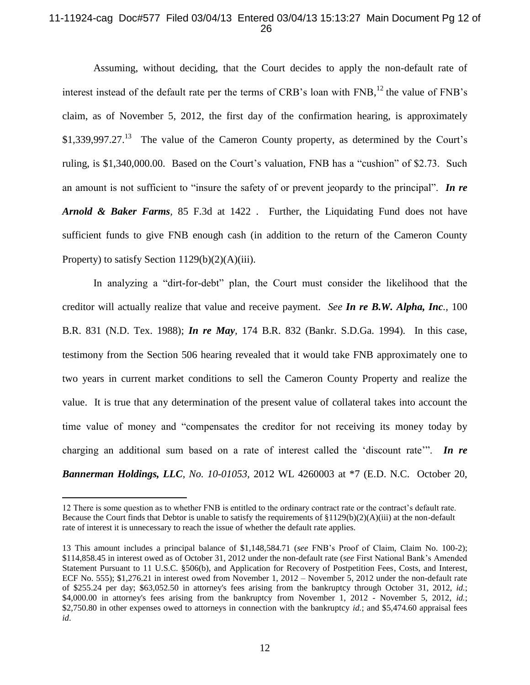## 11-11924-cag Doc#577 Filed 03/04/13 Entered 03/04/13 15:13:27 Main Document Pg 12 of 26

Assuming, without deciding, that the Court decides to apply the non-default rate of interest instead of the default rate per the terms of CRB's loan with  $\text{FNB}$ ,<sup>12</sup> the value of  $\text{FNB's}$ claim, as of November 5, 2012, the first day of the confirmation hearing, is approximately  $$1,339,997.27<sup>13</sup>$  The value of the Cameron County property, as determined by the Court's ruling, is \$1,340,000.00. Based on the Court's valuation, FNB has a "cushion" of \$2.73. Such an amount is not sufficient to "insure the safety of or prevent jeopardy to the principal". *In re Arnold & Baker Farms,* 85 F.3d at 1422 . Further, the Liquidating Fund does not have sufficient funds to give FNB enough cash (in addition to the return of the Cameron County Property) to satisfy Section  $1129(b)(2)(A)(iii)$ .

In analyzing a "dirt-for-debt" plan, the Court must consider the likelihood that the creditor will actually realize that value and receive payment. *See In re B.W. Alpha, Inc.,* 100 B.R. 831 (N.D. Tex. 1988); *In re May,* 174 B.R. 832 (Bankr. S.D.Ga. 1994)*.* In this case, testimony from the Section 506 hearing revealed that it would take FNB approximately one to two years in current market conditions to sell the Cameron County Property and realize the value. It is true that any determination of the present value of collateral takes into account the time value of money and "compensates the creditor for not receiving its money today by charging an additional sum based on a rate of interest called the 'discount rate'". *In re Bannerman Holdings, LLC, No. 10-01053,* 2012 WL 4260003 at \*7 (E.D. N.C. October 20,

<sup>12</sup> There is some question as to whether FNB is entitled to the ordinary contract rate or the contract's default rate. Because the Court finds that Debtor is unable to satisfy the requirements of  $\{129(b)(2)(A)(iii)$  at the non-default rate of interest it is unnecessary to reach the issue of whether the default rate applies.

<sup>13</sup> This amount includes a principal balance of \$1,148,584.71 (*see* FNB's Proof of Claim, Claim No. 100-2); \$114,858.45 in interest owed as of October 31, 2012 under the non-default rate (*see* First National Bank's Amended Statement Pursuant to 11 U.S.C. §506(b), and Application for Recovery of Postpetition Fees, Costs, and Interest, ECF No. 555); \$1,276.21 in interest owed from November 1, 2012 – November 5, 2012 under the non-default rate of \$255.24 per day; \$63,052.50 in attorney's fees arising from the bankruptcy through October 31, 2012, *id.*; \$4,000.00 in attorney's fees arising from the bankruptcy from November 1, 2012 - November 5, 2012, *id.*; \$2,750.80 in other expenses owed to attorneys in connection with the bankruptcy *id.*; and \$5,474.60 appraisal fees *id*.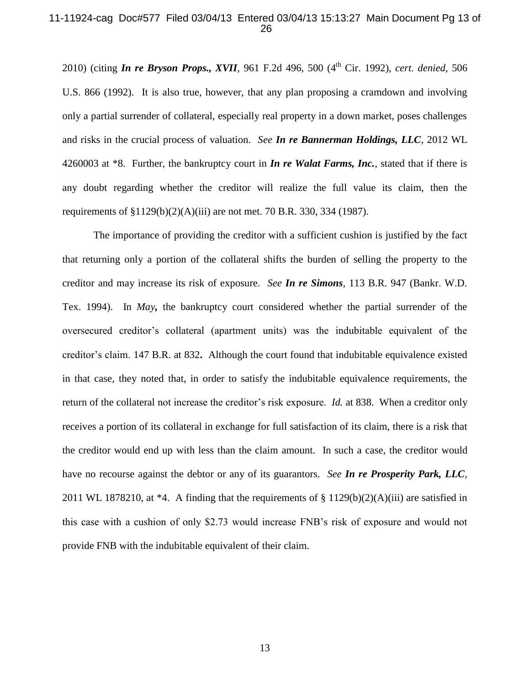### 11-11924-cag Doc#577 Filed 03/04/13 Entered 03/04/13 15:13:27 Main Document Pg 13 of 26

2010) (citing *In re Bryson Props., XVII,* 961 F.2d 496, 500 (4th Cir. 1992), *cert. denied,* 506 U.S. 866 (1992). It is also true, however, that any plan proposing a cramdown and involving only a partial surrender of collateral, especially real property in a down market, poses challenges and risks in the crucial process of valuation. *See In re Bannerman Holdings, LLC,* 2012 WL 4260003 at \*8. Further, the bankruptcy court in *In re Walat Farms, Inc.*, stated that if there is any doubt regarding whether the creditor will realize the full value its claim, then the requirements of §1129(b)(2)(A)(iii) are not met. 70 B.R. 330, 334 (1987).

The importance of providing the creditor with a sufficient cushion is justified by the fact that returning only a portion of the collateral shifts the burden of selling the property to the creditor and may increase its risk of exposure. *See In re Simons,* 113 B.R. 947 (Bankr. W.D. Tex. 1994). In *May,* the bankruptcy court considered whether the partial surrender of the oversecured creditor's collateral (apartment units) was the indubitable equivalent of the creditor's claim. 147 B.R. at 832**.** Although the court found that indubitable equivalence existed in that case, they noted that, in order to satisfy the indubitable equivalence requirements, the return of the collateral not increase the creditor's risk exposure. *Id.* at 838. When a creditor only receives a portion of its collateral in exchange for full satisfaction of its claim, there is a risk that the creditor would end up with less than the claim amount. In such a case, the creditor would have no recourse against the debtor or any of its guarantors. *See In re Prosperity Park, LLC,* 2011 WL 1878210, at  $*4$ . A finding that the requirements of § 1129(b)(2)(A)(iii) are satisfied in this case with a cushion of only \$2.73 would increase FNB's risk of exposure and would not provide FNB with the indubitable equivalent of their claim.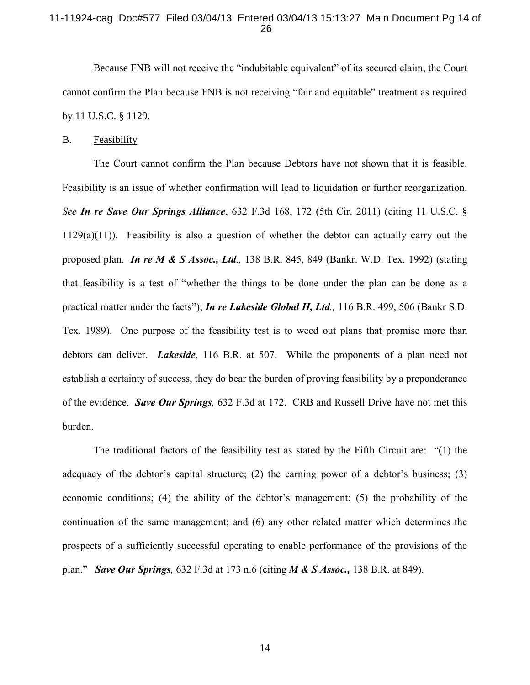## 11-11924-cag Doc#577 Filed 03/04/13 Entered 03/04/13 15:13:27 Main Document Pg 14 of 26

Because FNB will not receive the "indubitable equivalent" of its secured claim, the Court cannot confirm the Plan because FNB is not receiving "fair and equitable" treatment as required by 11 U.S.C. § 1129.

### B. Feasibility

The Court cannot confirm the Plan because Debtors have not shown that it is feasible. Feasibility is an issue of whether confirmation will lead to liquidation or further reorganization. *See In re Save Our Springs Alliance*, 632 F.3d 168, 172 (5th Cir. 2011) (citing 11 U.S.C. §  $1129(a)(11)$ ). Feasibility is also a question of whether the debtor can actually carry out the proposed plan. *In re M & S Assoc., Ltd.,* 138 B.R. 845, 849 (Bankr. W.D. Tex. 1992) (stating that feasibility is a test of "whether the things to be done under the plan can be done as a practical matter under the facts"); *In re Lakeside Global II, Ltd.,* 116 B.R. 499, 506 (Bankr S.D. Tex. 1989). One purpose of the feasibility test is to weed out plans that promise more than debtors can deliver. *Lakeside*, 116 B.R. at 507. While the proponents of a plan need not establish a certainty of success, they do bear the burden of proving feasibility by a preponderance of the evidence. *Save Our Springs,* 632 F.3d at 172. CRB and Russell Drive have not met this burden.

The traditional factors of the feasibility test as stated by the Fifth Circuit are: "(1) the adequacy of the debtor's capital structure; (2) the earning power of a debtor's business; (3) economic conditions; (4) the ability of the debtor's management; (5) the probability of the continuation of the same management; and (6) any other related matter which determines the prospects of a sufficiently successful operating to enable performance of the provisions of the plan." *Save Our Springs,* 632 F.3d at 173 n.6 (citing *M & S Assoc.,* 138 B.R. at 849).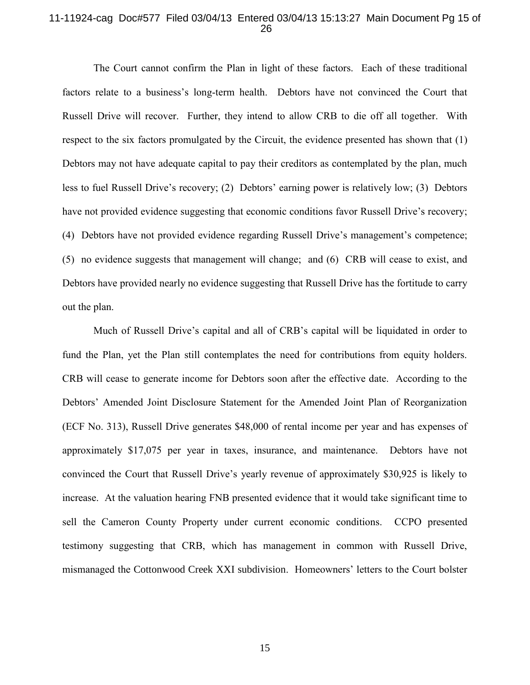## 11-11924-cag Doc#577 Filed 03/04/13 Entered 03/04/13 15:13:27 Main Document Pg 15 of 26

The Court cannot confirm the Plan in light of these factors. Each of these traditional factors relate to a business's long-term health. Debtors have not convinced the Court that Russell Drive will recover. Further, they intend to allow CRB to die off all together. With respect to the six factors promulgated by the Circuit, the evidence presented has shown that (1) Debtors may not have adequate capital to pay their creditors as contemplated by the plan, much less to fuel Russell Drive's recovery; (2) Debtors' earning power is relatively low; (3) Debtors have not provided evidence suggesting that economic conditions favor Russell Drive's recovery; (4) Debtors have not provided evidence regarding Russell Drive's management's competence; (5) no evidence suggests that management will change; and (6) CRB will cease to exist, and Debtors have provided nearly no evidence suggesting that Russell Drive has the fortitude to carry out the plan.

Much of Russell Drive's capital and all of CRB's capital will be liquidated in order to fund the Plan, yet the Plan still contemplates the need for contributions from equity holders. CRB will cease to generate income for Debtors soon after the effective date. According to the Debtors' Amended Joint Disclosure Statement for the Amended Joint Plan of Reorganization (ECF No. 313), Russell Drive generates \$48,000 of rental income per year and has expenses of approximately \$17,075 per year in taxes, insurance, and maintenance. Debtors have not convinced the Court that Russell Drive's yearly revenue of approximately \$30,925 is likely to increase. At the valuation hearing FNB presented evidence that it would take significant time to sell the Cameron County Property under current economic conditions. CCPO presented testimony suggesting that CRB, which has management in common with Russell Drive, mismanaged the Cottonwood Creek XXI subdivision. Homeowners' letters to the Court bolster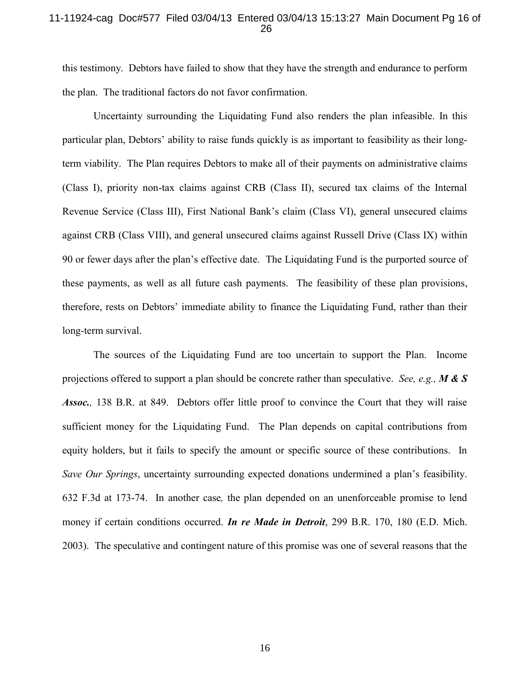## 11-11924-cag Doc#577 Filed 03/04/13 Entered 03/04/13 15:13:27 Main Document Pg 16 of 26

this testimony. Debtors have failed to show that they have the strength and endurance to perform the plan. The traditional factors do not favor confirmation.

Uncertainty surrounding the Liquidating Fund also renders the plan infeasible. In this particular plan, Debtors' ability to raise funds quickly is as important to feasibility as their longterm viability. The Plan requires Debtors to make all of their payments on administrative claims (Class I), priority non-tax claims against CRB (Class II), secured tax claims of the Internal Revenue Service (Class III), First National Bank's claim (Class VI), general unsecured claims against CRB (Class VIII), and general unsecured claims against Russell Drive (Class IX) within 90 or fewer days after the plan's effective date. The Liquidating Fund is the purported source of these payments, as well as all future cash payments. The feasibility of these plan provisions, therefore, rests on Debtors' immediate ability to finance the Liquidating Fund, rather than their long-term survival.

The sources of the Liquidating Fund are too uncertain to support the Plan. Income projections offered to support a plan should be concrete rather than speculative. *See, e.g., M & S Assoc.,* 138 B.R. at 849. Debtors offer little proof to convince the Court that they will raise sufficient money for the Liquidating Fund. The Plan depends on capital contributions from equity holders, but it fails to specify the amount or specific source of these contributions. In *Save Our Springs*, uncertainty surrounding expected donations undermined a plan's feasibility. 632 F.3d at 173-74. In another case*,* the plan depended on an unenforceable promise to lend money if certain conditions occurred. *In re Made in Detroit*, 299 B.R. 170, 180 (E.D. Mich. 2003). The speculative and contingent nature of this promise was one of several reasons that the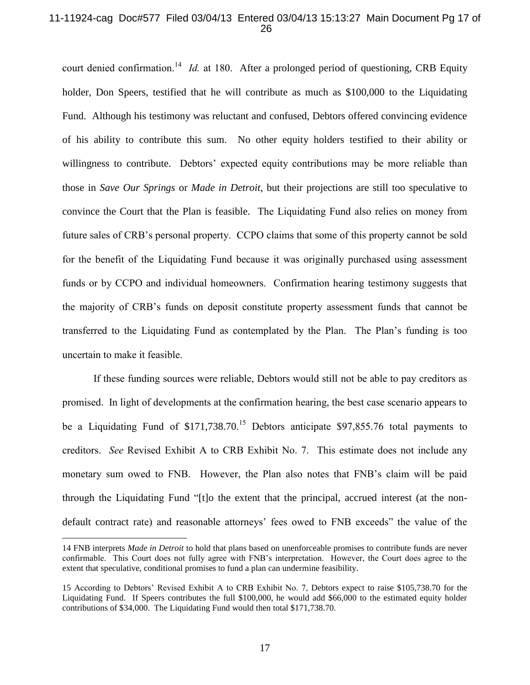## 11-11924-cag Doc#577 Filed 03/04/13 Entered 03/04/13 15:13:27 Main Document Pg 17 of 26

court denied confirmation.<sup>14</sup> *Id.* at 180. After a prolonged period of questioning, CRB Equity holder, Don Speers, testified that he will contribute as much as \$100,000 to the Liquidating Fund. Although his testimony was reluctant and confused, Debtors offered convincing evidence of his ability to contribute this sum. No other equity holders testified to their ability or willingness to contribute. Debtors' expected equity contributions may be more reliable than those in *Save Our Springs* or *Made in Detroit*, but their projections are still too speculative to convince the Court that the Plan is feasible. The Liquidating Fund also relies on money from future sales of CRB's personal property. CCPO claims that some of this property cannot be sold for the benefit of the Liquidating Fund because it was originally purchased using assessment funds or by CCPO and individual homeowners. Confirmation hearing testimony suggests that the majority of CRB's funds on deposit constitute property assessment funds that cannot be transferred to the Liquidating Fund as contemplated by the Plan. The Plan's funding is too uncertain to make it feasible.

If these funding sources were reliable, Debtors would still not be able to pay creditors as promised. In light of developments at the confirmation hearing, the best case scenario appears to be a Liquidating Fund of  $$171,738.70$ .<sup>15</sup> Debtors anticipate \$97,855.76 total payments to creditors. *See* Revised Exhibit A to CRB Exhibit No. 7. This estimate does not include any monetary sum owed to FNB. However, the Plan also notes that FNB's claim will be paid through the Liquidating Fund "[t]o the extent that the principal, accrued interest (at the nondefault contract rate) and reasonable attorneys' fees owed to FNB exceeds" the value of the

<sup>14</sup> FNB interprets *Made in Detroit* to hold that plans based on unenforceable promises to contribute funds are never confirmable. This Court does not fully agree with FNB's interpretation. However, the Court does agree to the extent that speculative, conditional promises to fund a plan can undermine feasibility.

<sup>15</sup> According to Debtors' Revised Exhibit A to CRB Exhibit No. 7, Debtors expect to raise \$105,738.70 for the Liquidating Fund. If Speers contributes the full \$100,000, he would add \$66,000 to the estimated equity holder contributions of \$34,000. The Liquidating Fund would then total \$171,738.70.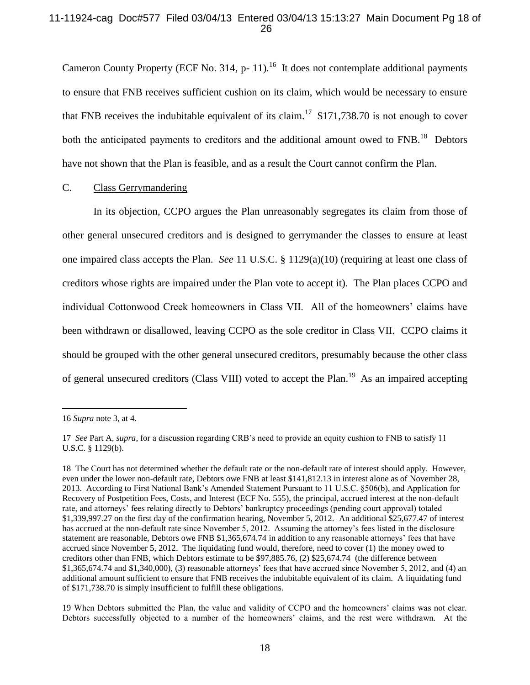## 11-11924-cag Doc#577 Filed 03/04/13 Entered 03/04/13 15:13:27 Main Document Pg 18 of 26

Cameron County Property (ECF No. 314, p- 11).<sup>16</sup> It does not contemplate additional payments to ensure that FNB receives sufficient cushion on its claim, which would be necessary to ensure that FNB receives the indubitable equivalent of its claim.<sup>17</sup> \$171,738.70 is not enough to cover both the anticipated payments to creditors and the additional amount owed to  $FNB$ .<sup>18</sup> Debtors have not shown that the Plan is feasible, and as a result the Court cannot confirm the Plan.

# C. Class Gerrymandering

In its objection, CCPO argues the Plan unreasonably segregates its claim from those of other general unsecured creditors and is designed to gerrymander the classes to ensure at least one impaired class accepts the Plan. *See* 11 U.S.C. § 1129(a)(10) (requiring at least one class of creditors whose rights are impaired under the Plan vote to accept it). The Plan places CCPO and individual Cottonwood Creek homeowners in Class VII. All of the homeowners' claims have been withdrawn or disallowed, leaving CCPO as the sole creditor in Class VII. CCPO claims it should be grouped with the other general unsecured creditors, presumably because the other class of general unsecured creditors (Class VIII) voted to accept the Plan.<sup>19</sup> As an impaired accepting

<sup>16</sup> *Supra* note 3, at 4.

<sup>17</sup> *See* Part A, *supra*, for a discussion regarding CRB's need to provide an equity cushion to FNB to satisfy 11 U.S.C. § 1129(b).

<sup>18</sup> The Court has not determined whether the default rate or the non-default rate of interest should apply. However, even under the lower non-default rate, Debtors owe FNB at least \$141,812.13 in interest alone as of November 28, 2013. According to First National Bank's Amended Statement Pursuant to 11 U.S.C. §506(b), and Application for Recovery of Postpetition Fees, Costs, and Interest (ECF No. 555), the principal, accrued interest at the non-default rate, and attorneys' fees relating directly to Debtors' bankruptcy proceedings (pending court approval) totaled \$1,339,997.27 on the first day of the confirmation hearing, November 5, 2012. An additional \$25,677.47 of interest has accrued at the non-default rate since November 5, 2012. Assuming the attorney's fees listed in the disclosure statement are reasonable, Debtors owe FNB \$1,365,674.74 in addition to any reasonable attorneys' fees that have accrued since November 5, 2012. The liquidating fund would, therefore, need to cover (1) the money owed to creditors other than FNB, which Debtors estimate to be \$97,885.76, (2) \$25,674.74 (the difference between \$1,365,674.74 and \$1,340,000), (3) reasonable attorneys' fees that have accrued since November 5, 2012, and (4) an additional amount sufficient to ensure that FNB receives the indubitable equivalent of its claim. A liquidating fund of \$171,738.70 is simply insufficient to fulfill these obligations.

<sup>19</sup> When Debtors submitted the Plan, the value and validity of CCPO and the homeowners' claims was not clear. Debtors successfully objected to a number of the homeowners' claims, and the rest were withdrawn. At the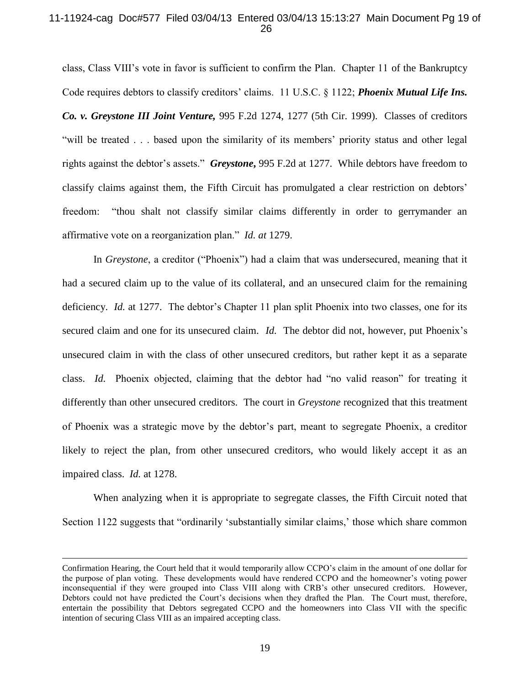## 11-11924-cag Doc#577 Filed 03/04/13 Entered 03/04/13 15:13:27 Main Document Pg 19 of 26

class, Class VIII's vote in favor is sufficient to confirm the Plan. Chapter 11 of the Bankruptcy Code requires debtors to classify creditors' claims. 11 U.S.C. § 1122; *Phoenix Mutual Life Ins. Co. v. Greystone III Joint Venture,* 995 F.2d 1274, 1277 (5th Cir. 1999). Classes of creditors "will be treated . . . based upon the similarity of its members' priority status and other legal rights against the debtor's assets." *Greystone***,** 995 F.2d at 1277. While debtors have freedom to classify claims against them, the Fifth Circuit has promulgated a clear restriction on debtors' freedom: "thou shalt not classify similar claims differently in order to gerrymander an affirmative vote on a reorganization plan." *Id. at* 1279.

In *Greystone*, a creditor ("Phoenix") had a claim that was undersecured, meaning that it had a secured claim up to the value of its collateral, and an unsecured claim for the remaining deficiency. *Id.* at 1277. The debtor's Chapter 11 plan split Phoenix into two classes, one for its secured claim and one for its unsecured claim. *Id.* The debtor did not, however, put Phoenix's unsecured claim in with the class of other unsecured creditors, but rather kept it as a separate class. *Id.* Phoenix objected, claiming that the debtor had "no valid reason" for treating it differently than other unsecured creditors. The court in *Greystone* recognized that this treatment of Phoenix was a strategic move by the debtor's part, meant to segregate Phoenix, a creditor likely to reject the plan, from other unsecured creditors, who would likely accept it as an impaired class. *Id.* at 1278.

When analyzing when it is appropriate to segregate classes, the Fifth Circuit noted that Section 1122 suggests that "ordinarily 'substantially similar claims,' those which share common

Confirmation Hearing, the Court held that it would temporarily allow CCPO's claim in the amount of one dollar for the purpose of plan voting. These developments would have rendered CCPO and the homeowner's voting power inconsequential if they were grouped into Class VIII along with CRB's other unsecured creditors. However, Debtors could not have predicted the Court's decisions when they drafted the Plan. The Court must, therefore, entertain the possibility that Debtors segregated CCPO and the homeowners into Class VII with the specific intention of securing Class VIII as an impaired accepting class.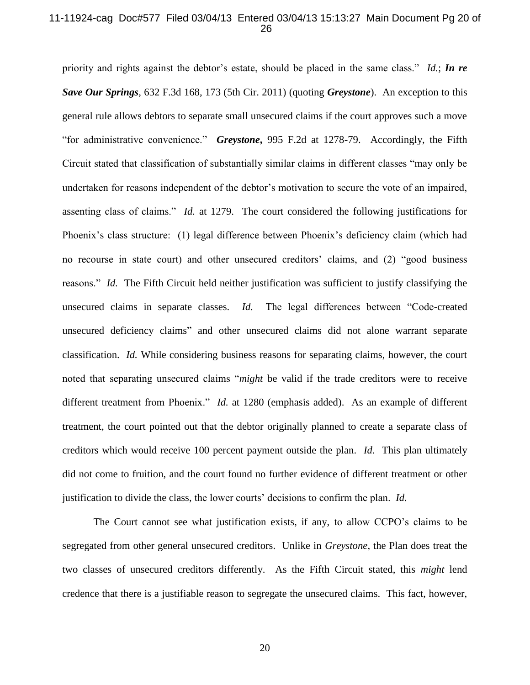### 11-11924-cag Doc#577 Filed 03/04/13 Entered 03/04/13 15:13:27 Main Document Pg 20 of 26

priority and rights against the debtor's estate, should be placed in the same class." *Id.*; *In re Save Our Springs*, 632 F.3d 168, 173 (5th Cir. 2011) (quoting *Greystone*).An exception to this general rule allows debtors to separate small unsecured claims if the court approves such a move "for administrative convenience." *Greystone***,** 995 F.2d at 1278-79. Accordingly, the Fifth Circuit stated that classification of substantially similar claims in different classes "may only be undertaken for reasons independent of the debtor's motivation to secure the vote of an impaired, assenting class of claims." *Id.* at 1279. The court considered the following justifications for Phoenix's class structure: (1) legal difference between Phoenix's deficiency claim (which had no recourse in state court) and other unsecured creditors' claims, and (2) "good business reasons." *Id.* The Fifth Circuit held neither justification was sufficient to justify classifying the unsecured claims in separate classes. *Id.* The legal differences between "Code-created unsecured deficiency claims" and other unsecured claims did not alone warrant separate classification. *Id.* While considering business reasons for separating claims, however, the court noted that separating unsecured claims "*might* be valid if the trade creditors were to receive different treatment from Phoenix." *Id.* at 1280 (emphasis added). As an example of different treatment, the court pointed out that the debtor originally planned to create a separate class of creditors which would receive 100 percent payment outside the plan. *Id.* This plan ultimately did not come to fruition, and the court found no further evidence of different treatment or other justification to divide the class, the lower courts' decisions to confirm the plan. *Id.*

The Court cannot see what justification exists, if any, to allow CCPO's claims to be segregated from other general unsecured creditors. Unlike in *Greystone*, the Plan does treat the two classes of unsecured creditors differently. As the Fifth Circuit stated, this *might* lend credence that there is a justifiable reason to segregate the unsecured claims. This fact, however,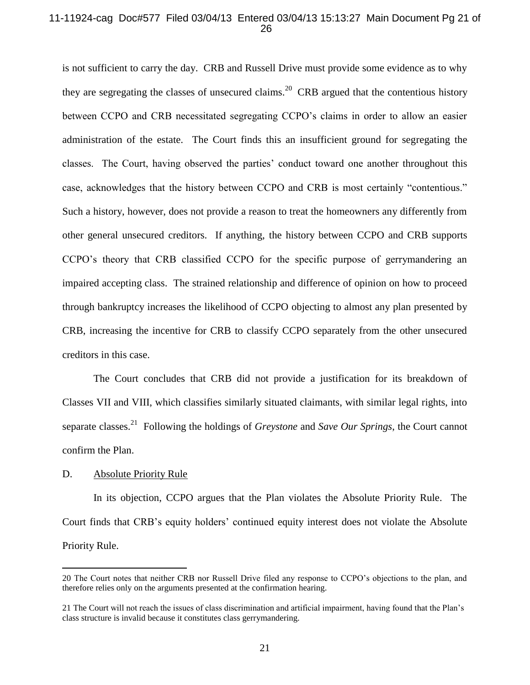## 11-11924-cag Doc#577 Filed 03/04/13 Entered 03/04/13 15:13:27 Main Document Pg 21 of 26

is not sufficient to carry the day. CRB and Russell Drive must provide some evidence as to why they are segregating the classes of unsecured claims.<sup>20</sup> CRB argued that the contentious history between CCPO and CRB necessitated segregating CCPO's claims in order to allow an easier administration of the estate. The Court finds this an insufficient ground for segregating the classes. The Court, having observed the parties' conduct toward one another throughout this case, acknowledges that the history between CCPO and CRB is most certainly "contentious." Such a history, however, does not provide a reason to treat the homeowners any differently from other general unsecured creditors. If anything, the history between CCPO and CRB supports CCPO's theory that CRB classified CCPO for the specific purpose of gerrymandering an impaired accepting class. The strained relationship and difference of opinion on how to proceed through bankruptcy increases the likelihood of CCPO objecting to almost any plan presented by CRB, increasing the incentive for CRB to classify CCPO separately from the other unsecured creditors in this case.

The Court concludes that CRB did not provide a justification for its breakdown of Classes VII and VIII, which classifies similarly situated claimants, with similar legal rights, into separate classes.<sup>21</sup> Following the holdings of *Greystone* and *Save Our Springs*, the Court cannot confirm the Plan.

# D. Absolute Priority Rule

 $\overline{a}$ 

In its objection, CCPO argues that the Plan violates the Absolute Priority Rule. The Court finds that CRB's equity holders' continued equity interest does not violate the Absolute Priority Rule.

<sup>20</sup> The Court notes that neither CRB nor Russell Drive filed any response to CCPO's objections to the plan, and therefore relies only on the arguments presented at the confirmation hearing.

<sup>21</sup> The Court will not reach the issues of class discrimination and artificial impairment, having found that the Plan's class structure is invalid because it constitutes class gerrymandering.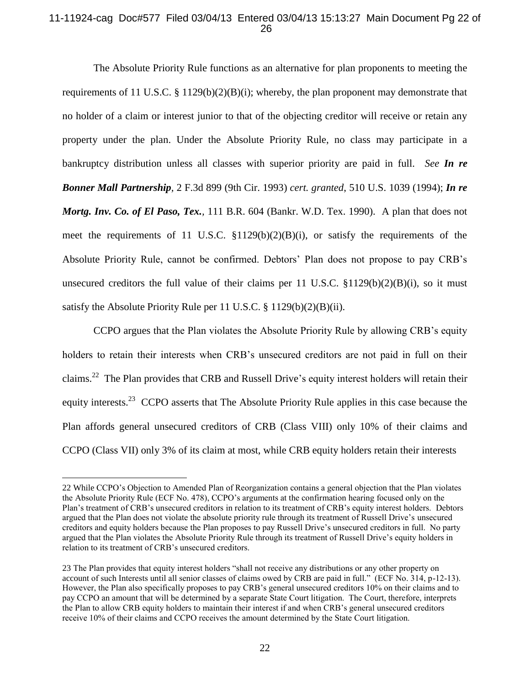# 11-11924-cag Doc#577 Filed 03/04/13 Entered 03/04/13 15:13:27 Main Document Pg 22 of 26

The Absolute Priority Rule functions as an alternative for plan proponents to meeting the requirements of 11 U.S.C. § 1129(b)(2)(B)(i); whereby, the plan proponent may demonstrate that no holder of a claim or interest junior to that of the objecting creditor will receive or retain any property under the plan. Under the Absolute Priority Rule, no class may participate in a bankruptcy distribution unless all classes with superior priority are paid in full. *See In re Bonner Mall Partnership,* 2 F.3d 899 (9th Cir. 1993) *cert. granted*, 510 U.S. 1039 (1994); *In re Mortg. Inv. Co. of El Paso, Tex.,* 111 B.R. 604 (Bankr. W.D. Tex. 1990). A plan that does not meet the requirements of 11 U.S.C. §1129(b)(2)(B)(i), or satisfy the requirements of the Absolute Priority Rule, cannot be confirmed. Debtors' Plan does not propose to pay CRB's unsecured creditors the full value of their claims per 11 U.S.C.  $$1129(b)(2)(B)(i)$ , so it must satisfy the Absolute Priority Rule per 11 U.S.C. § 1129(b)(2)(B)(ii).

CCPO argues that the Plan violates the Absolute Priority Rule by allowing CRB's equity holders to retain their interests when CRB's unsecured creditors are not paid in full on their claims.<sup>22</sup> The Plan provides that CRB and Russell Drive's equity interest holders will retain their equity interests.<sup>23</sup> CCPO asserts that The Absolute Priority Rule applies in this case because the Plan affords general unsecured creditors of CRB (Class VIII) only 10% of their claims and CCPO (Class VII) only 3% of its claim at most, while CRB equity holders retain their interests

<sup>22</sup> While CCPO's Objection to Amended Plan of Reorganization contains a general objection that the Plan violates the Absolute Priority Rule (ECF No. 478), CCPO's arguments at the confirmation hearing focused only on the Plan's treatment of CRB's unsecured creditors in relation to its treatment of CRB's equity interest holders. Debtors argued that the Plan does not violate the absolute priority rule through its treatment of Russell Drive's unsecured creditors and equity holders because the Plan proposes to pay Russell Drive's unsecured creditors in full. No party argued that the Plan violates the Absolute Priority Rule through its treatment of Russell Drive's equity holders in relation to its treatment of CRB's unsecured creditors.

<sup>23</sup> The Plan provides that equity interest holders "shall not receive any distributions or any other property on account of such Interests until all senior classes of claims owed by CRB are paid in full." (ECF No. 314, p-12-13). However, the Plan also specifically proposes to pay CRB's general unsecured creditors 10% on their claims and to pay CCPO an amount that will be determined by a separate State Court litigation. The Court, therefore, interprets the Plan to allow CRB equity holders to maintain their interest if and when CRB's general unsecured creditors receive 10% of their claims and CCPO receives the amount determined by the State Court litigation.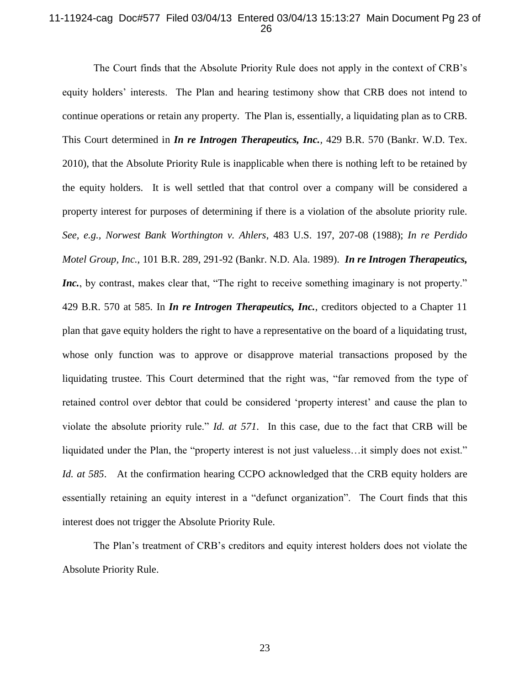## 11-11924-cag Doc#577 Filed 03/04/13 Entered 03/04/13 15:13:27 Main Document Pg 23 of 26

The Court finds that the Absolute Priority Rule does not apply in the context of CRB's equity holders' interests. The Plan and hearing testimony show that CRB does not intend to continue operations or retain any property. The Plan is, essentially, a liquidating plan as to CRB. This Court determined in *In re Introgen Therapeutics, Inc.,* 429 B.R. 570 (Bankr. W.D. Tex. 2010), that the Absolute Priority Rule is inapplicable when there is nothing left to be retained by the equity holders. It is well settled that that control over a company will be considered a property interest for purposes of determining if there is a violation of the absolute priority rule. *See, e.g., Norwest Bank Worthington v. Ahlers*, 483 U.S. 197, 207-08 (1988); *In re Perdido Motel Group, Inc.*, 101 B.R. 289, 291-92 (Bankr. N.D. Ala. 1989). *In re Introgen Therapeutics, Inc.*, by contrast, makes clear that, "The right to receive something imaginary is not property." 429 B.R. 570 at 585. In *In re Introgen Therapeutics, Inc.*, creditors objected to a Chapter 11 plan that gave equity holders the right to have a representative on the board of a liquidating trust, whose only function was to approve or disapprove material transactions proposed by the liquidating trustee. This Court determined that the right was, "far removed from the type of retained control over debtor that could be considered 'property interest' and cause the plan to violate the absolute priority rule." *Id. at 571*. In this case, due to the fact that CRB will be liquidated under the Plan, the "property interest is not just valueless…it simply does not exist." *Id. at 585*. At the confirmation hearing CCPO acknowledged that the CRB equity holders are essentially retaining an equity interest in a "defunct organization". The Court finds that this interest does not trigger the Absolute Priority Rule.

The Plan's treatment of CRB's creditors and equity interest holders does not violate the Absolute Priority Rule.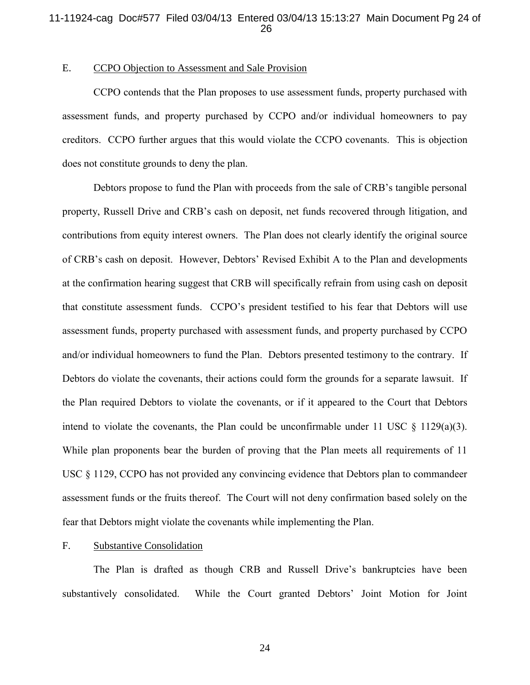## 11-11924-cag Doc#577 Filed 03/04/13 Entered 03/04/13 15:13:27 Main Document Pg 24 of 26

## E. CCPO Objection to Assessment and Sale Provision

CCPO contends that the Plan proposes to use assessment funds, property purchased with assessment funds, and property purchased by CCPO and/or individual homeowners to pay creditors. CCPO further argues that this would violate the CCPO covenants. This is objection does not constitute grounds to deny the plan.

Debtors propose to fund the Plan with proceeds from the sale of CRB's tangible personal property, Russell Drive and CRB's cash on deposit, net funds recovered through litigation, and contributions from equity interest owners. The Plan does not clearly identify the original source of CRB's cash on deposit. However, Debtors' Revised Exhibit A to the Plan and developments at the confirmation hearing suggest that CRB will specifically refrain from using cash on deposit that constitute assessment funds. CCPO's president testified to his fear that Debtors will use assessment funds, property purchased with assessment funds, and property purchased by CCPO and/or individual homeowners to fund the Plan. Debtors presented testimony to the contrary. If Debtors do violate the covenants, their actions could form the grounds for a separate lawsuit. If the Plan required Debtors to violate the covenants, or if it appeared to the Court that Debtors intend to violate the covenants, the Plan could be unconfirmable under 11 USC  $\S$  1129(a)(3). While plan proponents bear the burden of proving that the Plan meets all requirements of 11 USC § 1129, CCPO has not provided any convincing evidence that Debtors plan to commandeer assessment funds or the fruits thereof. The Court will not deny confirmation based solely on the fear that Debtors might violate the covenants while implementing the Plan.

#### F. Substantive Consolidation

The Plan is drafted as though CRB and Russell Drive's bankruptcies have been substantively consolidated. While the Court granted Debtors' Joint Motion for Joint

24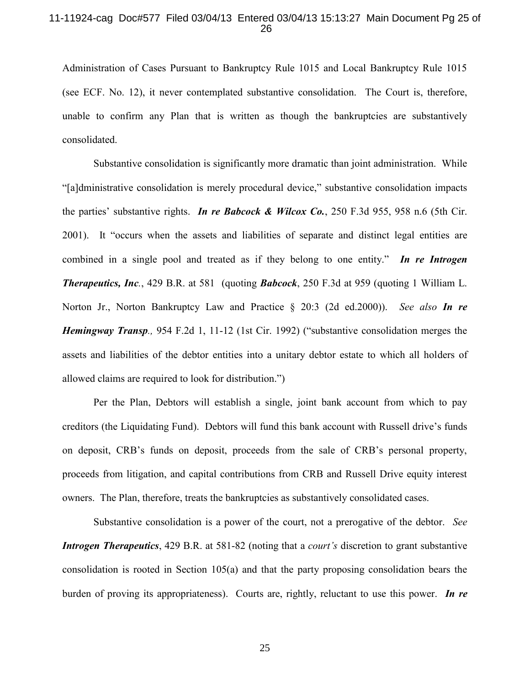### 11-11924-cag Doc#577 Filed 03/04/13 Entered 03/04/13 15:13:27 Main Document Pg 25 of 26

Administration of Cases Pursuant to Bankruptcy Rule 1015 and Local Bankruptcy Rule 1015 (see ECF. No. 12), it never contemplated substantive consolidation. The Court is, therefore, unable to confirm any Plan that is written as though the bankruptcies are substantively consolidated.

Substantive consolidation is significantly more dramatic than joint administration. While "[a]dministrative consolidation is merely procedural device," substantive consolidation impacts the parties' substantive rights. *In re Babcock & Wilcox Co.*, 250 F.3d 955, 958 n.6 (5th Cir. 2001). It "occurs when the assets and liabilities of separate and distinct legal entities are combined in a single pool and treated as if they belong to one entity." *In re Introgen Therapeutics, Inc.*, 429 B.R. at 581 (quoting *Babcock*, 250 F.3d at 959 (quoting 1 William L. Norton Jr., Norton Bankruptcy Law and Practice § 20:3 (2d ed.2000)).*See also In re Hemingway Transp.,* 954 F.2d 1, 11-12 (1st Cir. 1992) ("substantive consolidation merges the assets and liabilities of the debtor entities into a unitary debtor estate to which all holders of allowed claims are required to look for distribution.")

Per the Plan, Debtors will establish a single, joint bank account from which to pay creditors (the Liquidating Fund). Debtors will fund this bank account with Russell drive's funds on deposit, CRB's funds on deposit, proceeds from the sale of CRB's personal property, proceeds from litigation, and capital contributions from CRB and Russell Drive equity interest owners. The Plan, therefore, treats the bankruptcies as substantively consolidated cases.

Substantive consolidation is a power of the court, not a prerogative of the debtor. *See Introgen Therapeutics*, 429 B.R. at 581-82 (noting that a *court's* discretion to grant substantive consolidation is rooted in Section 105(a) and that the party proposing consolidation bears the burden of proving its appropriateness). Courts are, rightly, reluctant to use this power. *In re* 

25